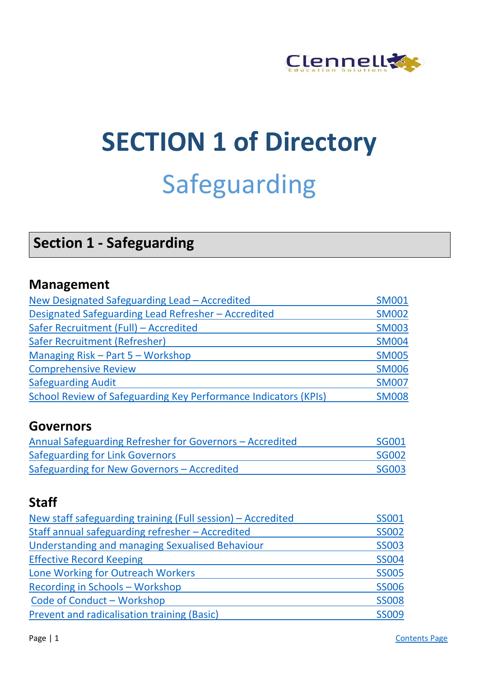

# **SECTION 1 of Directory** Safeguarding

# **Section 1 - Safeguarding**

#### **Management**

| New Designated Safeguarding Lead - Accredited                   | <b>SM001</b> |
|-----------------------------------------------------------------|--------------|
| Designated Safeguarding Lead Refresher - Accredited             | <b>SM002</b> |
| Safer Recruitment (Full) - Accredited                           | <b>SM003</b> |
| Safer Recruitment (Refresher)                                   | <b>SM004</b> |
| Managing Risk - Part 5 - Workshop                               | <b>SM005</b> |
| <b>Comprehensive Review</b>                                     | <b>SM006</b> |
| <b>Safeguarding Audit</b>                                       | <b>SM007</b> |
| School Review of Safeguarding Key Performance Indicators (KPIs) | <b>SM008</b> |

#### **Governors**

| Annual Safeguarding Refresher for Governors - Accredited | <b>SG001</b> |
|----------------------------------------------------------|--------------|
| <b>Safeguarding for Link Governors</b>                   | <b>SG002</b> |
| Safeguarding for New Governors – Accredited              | <b>SG003</b> |

## **Staff**

| New staff safeguarding training (Full session) – Accredited | <b>SS001</b> |
|-------------------------------------------------------------|--------------|
| Staff annual safeguarding refresher - Accredited            | <b>SS002</b> |
| Understanding and managing Sexualised Behaviour             | <b>SS003</b> |
| <b>Effective Record Keeping</b>                             | <b>SS004</b> |
| Lone Working for Outreach Workers                           | <b>SS005</b> |
| Recording in Schools - Workshop                             | <b>SS006</b> |
| Code of Conduct - Workshop                                  | <b>SS008</b> |
| Prevent and radicalisation training (Basic)                 | <b>SS009</b> |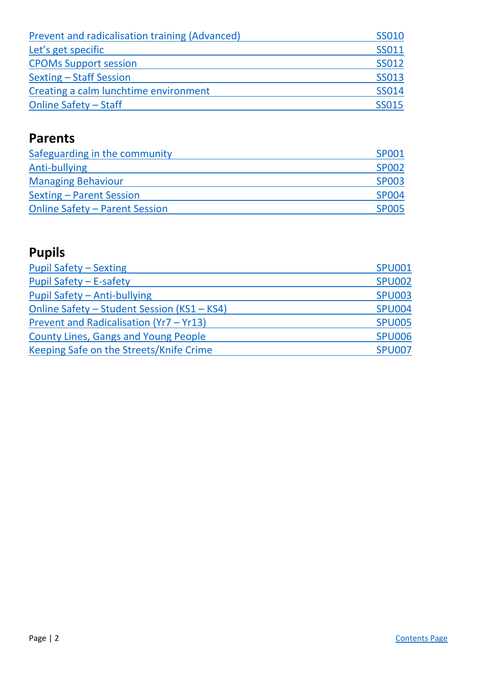| Prevent and radicalisation training (Advanced) | <b>SS010</b> |
|------------------------------------------------|--------------|
| Let's get specific                             | <b>SS011</b> |
| <b>CPOMs Support session</b>                   | <b>SS012</b> |
| <b>Sexting - Staff Session</b>                 | <b>SS013</b> |
| Creating a calm lunchtime environment          | <b>SS014</b> |
| <b>Online Safety - Staff</b>                   | <b>SS015</b> |

### **Parents**

| Safeguarding in the community         | <b>SP001</b> |
|---------------------------------------|--------------|
| Anti-bullying                         | <b>SP002</b> |
| <b>Managing Behaviour</b>             | <b>SP003</b> |
| <b>Sexting – Parent Session</b>       | <b>SP004</b> |
| <b>Online Safety - Parent Session</b> | <b>SP005</b> |

# **Pupils**

| <b>Pupil Safety - Sexting</b>               | <b>SPU001</b> |
|---------------------------------------------|---------------|
| Pupil Safety - E-safety                     | <b>SPU002</b> |
| Pupil Safety - Anti-bullying                | <b>SPU003</b> |
| Online Safety - Student Session (KS1 - KS4) | <b>SPU004</b> |
| Prevent and Radicalisation (Yr7 - Yr13)     | <b>SPU005</b> |
| <b>County Lines, Gangs and Young People</b> | <b>SPU006</b> |
| Keeping Safe on the Streets/Knife Crime     | <b>SPU007</b> |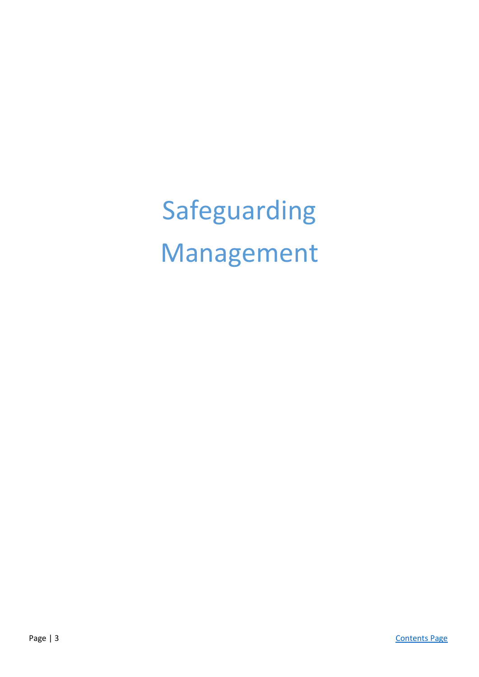Safeguarding Management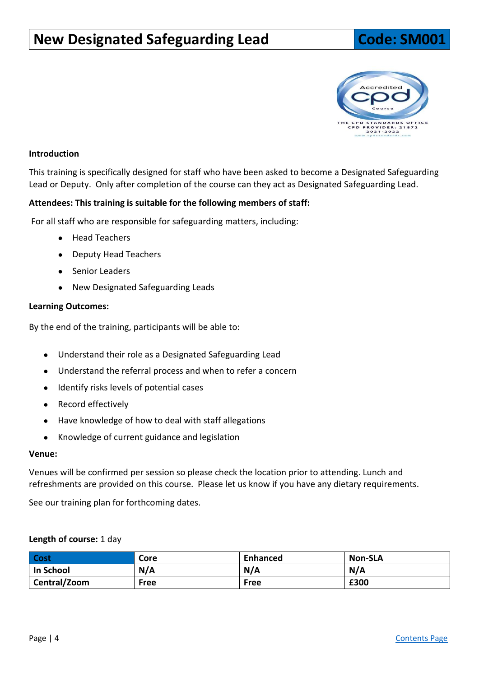# <span id="page-3-0"></span>**New Designated Safeguarding Lead Code: SM001**



#### **Introduction**

This training is specifically designed for staff who have been asked to become a Designated Safeguarding Lead or Deputy. Only after completion of the course can they act as Designated Safeguarding Lead.

#### **Attendees: This training is suitable for the following members of staff:**

For all staff who are responsible for safeguarding matters, including:

- Head Teachers
- Deputy Head Teachers
- Senior Leaders
- New Designated Safeguarding Leads

#### **Learning Outcomes:**

By the end of the training, participants will be able to:

- Understand their role as a Designated Safeguarding Lead
- Understand the referral process and when to refer a concern
- Identify risks levels of potential cases
- Record effectively
- Have knowledge of how to deal with staff allegations
- Knowledge of current guidance and legislation

#### **Venue:**

Venues will be confirmed per session so please check the location prior to attending. Lunch and refreshments are provided on this course. Please let us know if you have any dietary requirements.

See our training plan for forthcoming dates.

#### **Length of course:** 1 day

| Cost         | Core | <b>Enhanced</b> | <b>Non-SLA</b> |
|--------------|------|-----------------|----------------|
| In School    | N/A  | N/A             | N/A            |
| Central/Zoom | Free | Free            | £300           |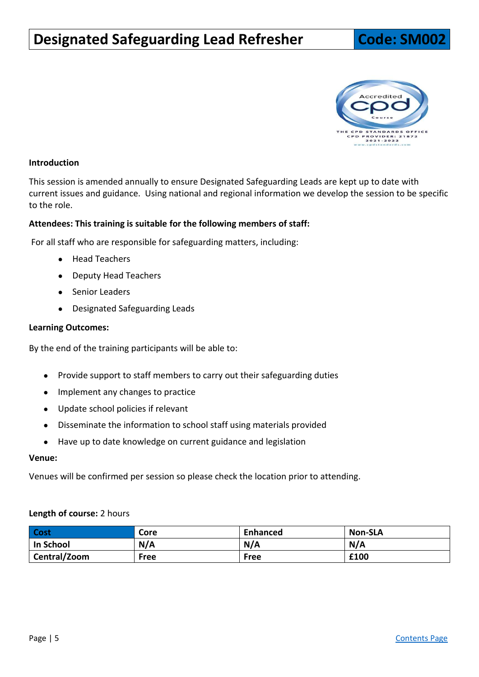# <span id="page-4-0"></span>**Designated Safeguarding Lead Refresher | Code: SM002**



#### **Introduction**

This session is amended annually to ensure Designated Safeguarding Leads are kept up to date with current issues and guidance. Using national and regional information we develop the session to be specific to the role.

#### **Attendees: This training is suitable for the following members of staff:**

For all staff who are responsible for safeguarding matters, including:

- Head Teachers
- Deputy Head Teachers
- Senior Leaders
- Designated Safeguarding Leads

#### **Learning Outcomes:**

By the end of the training participants will be able to:

- Provide support to staff members to carry out their safeguarding duties
- Implement any changes to practice
- Update school policies if relevant
- Disseminate the information to school staff using materials provided
- Have up to date knowledge on current guidance and legislation

#### **Venue:**

Venues will be confirmed per session so please check the location prior to attending.

#### **Length of course:** 2 hours

| <b>Cost</b>  | Core | <b>Enhanced</b> | <b>Non-SLA</b> |
|--------------|------|-----------------|----------------|
| ' In School  | N/A  | N/A             | N/A            |
| Central/Zoom | Free | Free            | £100           |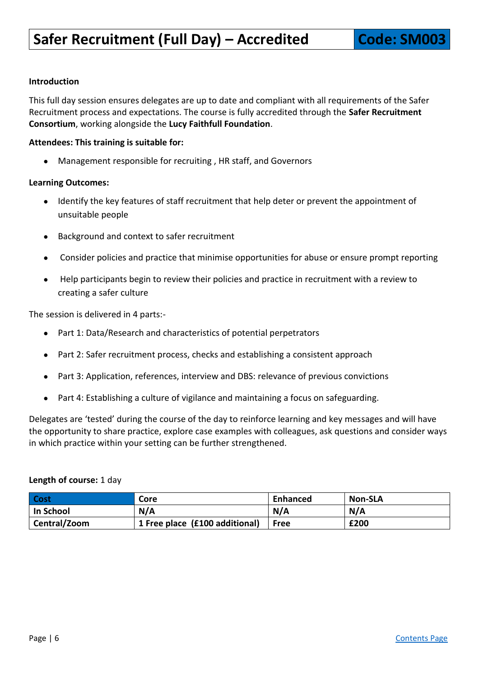<span id="page-5-0"></span>This full day session ensures delegates are up to date and compliant with all requirements of the Safer Recruitment process and expectations. The course is fully accredited through the **Safer Recruitment Consortium**, working alongside the **Lucy Faithfull Foundation**.

#### **Attendees: This training is suitable for:**

● Management responsible for recruiting , HR staff, and Governors

#### **Learning Outcomes:**

- Identify the key features of staff recruitment that help deter or prevent the appointment of unsuitable people
- Background and context to safer recruitment
- Consider policies and practice that minimise opportunities for abuse or ensure prompt reporting
- Help participants begin to review their policies and practice in recruitment with a review to creating a safer culture

The session is delivered in 4 parts:-

- Part 1: Data/Research and characteristics of potential perpetrators
- Part 2: Safer recruitment process, checks and establishing a consistent approach
- Part 3: Application, references, interview and DBS: relevance of previous convictions
- Part 4: Establishing a culture of vigilance and maintaining a focus on safeguarding.

Delegates are 'tested' during the course of the day to reinforce learning and key messages and will have the opportunity to share practice, explore case examples with colleagues, ask questions and consider ways in which practice within your setting can be further strengthened.

#### **Length of course:** 1 day

| Cost         | Core                           | <b>Enhanced</b> | <b>Non-SLA</b> |
|--------------|--------------------------------|-----------------|----------------|
| In School    | N/A                            | N/A             | N/A            |
| Central/Zoom | 1 Free place (£100 additional) | <b>Free</b>     | £200           |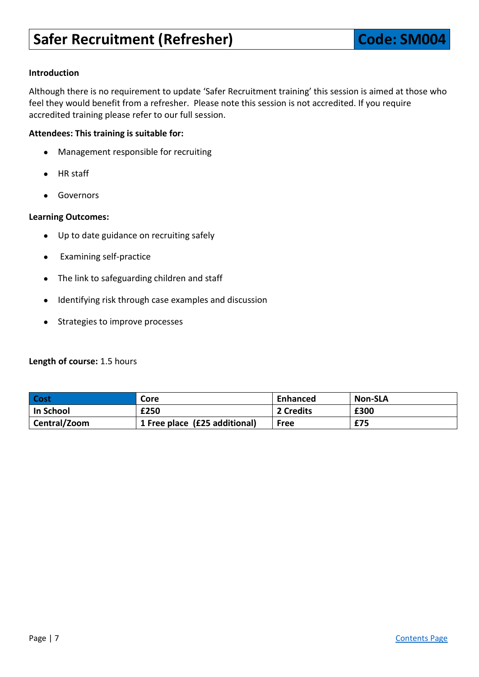<span id="page-6-0"></span>Although there is no requirement to update 'Safer Recruitment training' this session is aimed at those who feel they would benefit from a refresher. Please note this session is not accredited. If you require accredited training please refer to our full session.

#### **Attendees: This training is suitable for:**

- Management responsible for recruiting
- HR staff
- Governors

#### **Learning Outcomes:**

- Up to date guidance on recruiting safely
- Examining self-practice
- The link to safeguarding children and staff
- Identifying risk through case examples and discussion
- Strategies to improve processes

#### **Length of course:** 1.5 hours

| <b>Cost</b>  | Core                          | <b>Enhanced</b> | <b>Non-SLA</b> |
|--------------|-------------------------------|-----------------|----------------|
| l In School  | £250                          | 2 Credits       | £300           |
| Central/Zoom | 1 Free place (£25 additional) | Free            | £75            |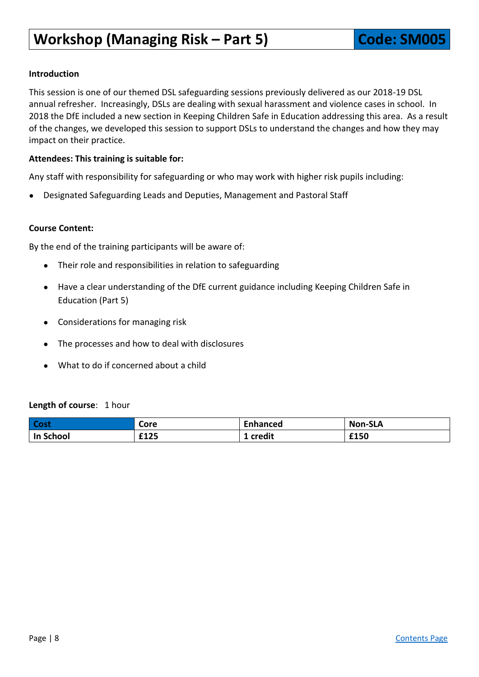# <span id="page-7-0"></span>**Workshop (Managing Risk – Part 5) <b>Code: SM005**

#### **Introduction**

This session is one of our themed DSL safeguarding sessions previously delivered as our 2018-19 DSL annual refresher. Increasingly, DSLs are dealing with sexual harassment and violence cases in school. In 2018 the DfE included a new section in Keeping Children Safe in Education addressing this area. As a result of the changes, we developed this session to support DSLs to understand the changes and how they may impact on their practice.

#### **Attendees: This training is suitable for:**

Any staff with responsibility for safeguarding or who may work with higher risk pupils including:

Designated Safeguarding Leads and Deputies, Management and Pastoral Staff

#### **Course Content:**

By the end of the training participants will be aware of:

- Their role and responsibilities in relation to safeguarding
- Have a clear understanding of the DfE current guidance including Keeping Children Safe in Education (Part 5)
- Considerations for managing risk
- The processes and how to deal with disclosures
- What to do if concerned about a child

#### **Length of course**: 1 hour

| <b>Cost</b>      | Core | Enhanced | <b>Non-SLA</b> |
|------------------|------|----------|----------------|
| <b>In School</b> | £125 | credit   | £150           |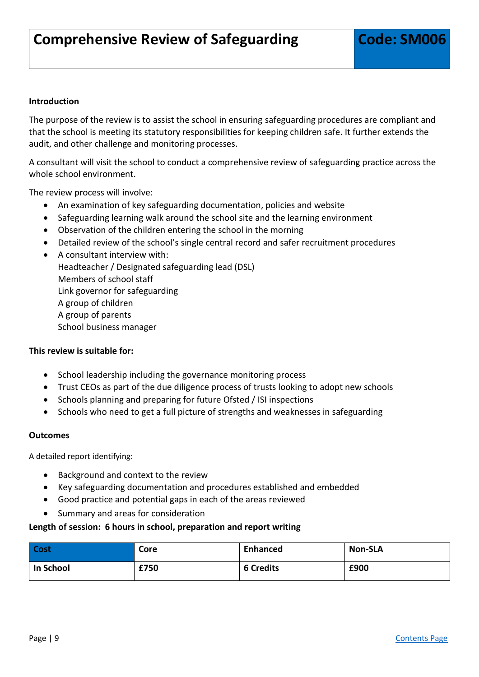<span id="page-8-0"></span>The purpose of the review is to assist the school in ensuring safeguarding procedures are compliant and that the school is meeting its statutory responsibilities for keeping children safe. It further extends the audit, and other challenge and monitoring processes.

A consultant will visit the school to conduct a comprehensive review of safeguarding practice across the whole school environment.

The review process will involve:

- An examination of key safeguarding documentation, policies and website
- Safeguarding learning walk around the school site and the learning environment
- Observation of the children entering the school in the morning
- Detailed review of the school's single central record and safer recruitment procedures
- A consultant interview with: Headteacher / Designated safeguarding lead (DSL) Members of school staff Link governor for safeguarding A group of children A group of parents School business manager

#### **This review is suitable for:**

- School leadership including the governance monitoring process
- Trust CEOs as part of the due diligence process of trusts looking to adopt new schools
- Schools planning and preparing for future Ofsted / ISI inspections
- Schools who need to get a full picture of strengths and weaknesses in safeguarding

#### **Outcomes**

A detailed report identifying:

- Background and context to the review
- Key safeguarding documentation and procedures established and embedded
- Good practice and potential gaps in each of the areas reviewed
- Summary and areas for consideration

#### **Length of session: 6 hours in school, preparation and report writing**

| Cost      | Core | Enhanced         | <b>Non-SLA</b> |
|-----------|------|------------------|----------------|
| In School | £750 | <b>6 Credits</b> | £900           |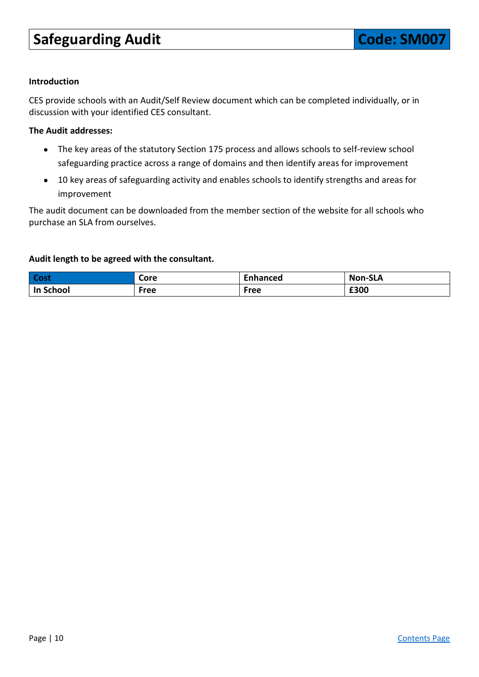# <span id="page-9-0"></span>**Safeguarding Audit Code: SM007**

#### **Introduction**

CES provide schools with an Audit/Self Review document which can be completed individually, or in discussion with your identified CES consultant.

#### **The Audit addresses:**

- The key areas of the statutory Section 175 process and allows schools to self-review school safeguarding practice across a range of domains and then identify areas for improvement
- 10 key areas of safeguarding activity and enables schools to identify strengths and areas for improvement

The audit document can be downloaded from the member section of the website for all schools who purchase an SLA from ourselves.

#### **Audit length to be agreed with the consultant.**

| <b>Cost</b>      | Core | Enhanced | <b>Non-SLA</b> |
|------------------|------|----------|----------------|
| <b>In School</b> | Free | Free     | £300           |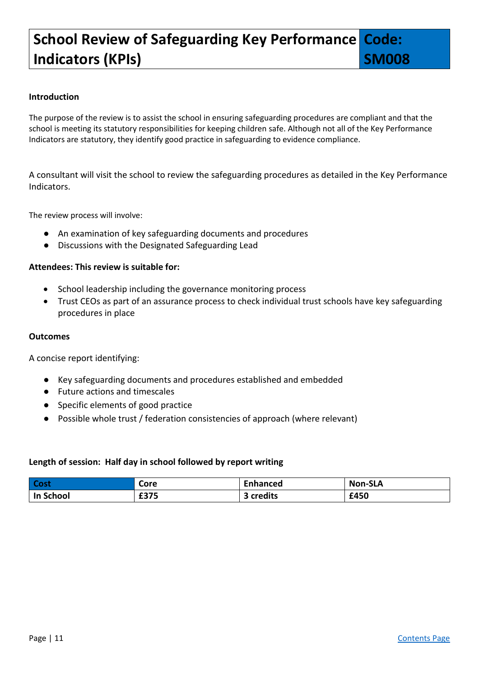#### <span id="page-10-0"></span>**School Review of Safeguarding Key Performance Indicators (KPIs) Code:**

**SM008**

#### **Introduction**

The purpose of the review is to assist the school in ensuring safeguarding procedures are compliant and that the school is meeting its statutory responsibilities for keeping children safe. Although not all of the Key Performance Indicators are statutory, they identify good practice in safeguarding to evidence compliance.

A consultant will visit the school to review the safeguarding procedures as detailed in the Key Performance Indicators.

The review process will involve:

- An examination of key safeguarding documents and procedures
- Discussions with the Designated Safeguarding Lead

#### **Attendees: This review is suitable for:**

- School leadership including the governance monitoring process
- Trust CEOs as part of an assurance process to check individual trust schools have key safeguarding procedures in place

#### **Outcomes**

A concise report identifying:

- Key safeguarding documents and procedures established and embedded
- Future actions and timescales
- Specific elements of good practice
- Possible whole trust / federation consistencies of approach (where relevant)

#### **Length of session: Half day in school followed by report writing**

| Cost      | Core | <b>Enhanced</b>   | <b>Non-SLA</b> |
|-----------|------|-------------------|----------------|
| In School | £375 | credits<br>$\sim$ | £450           |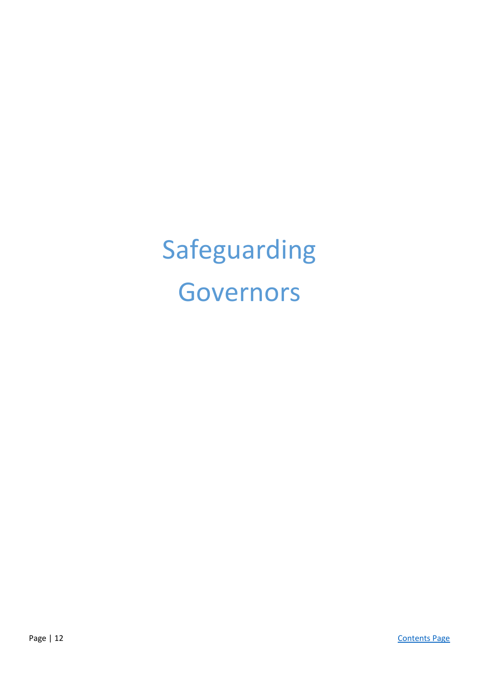# Safeguarding Governors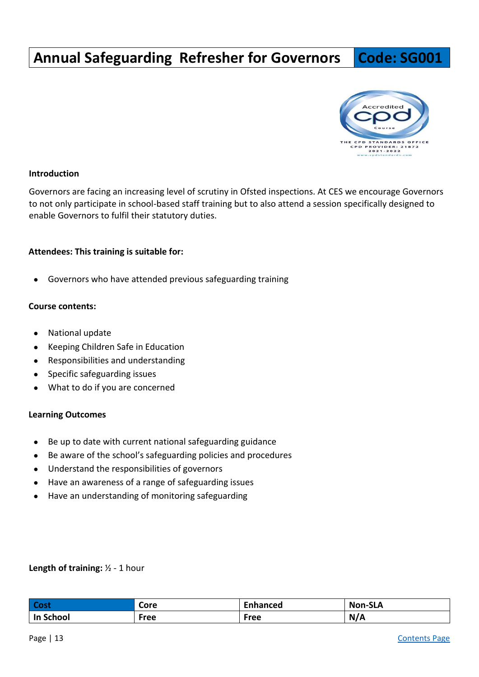# <span id="page-12-0"></span>**Annual Safeguarding Refresher for Governors | Code: SG001**



#### **Introduction**

Governors are facing an increasing level of scrutiny in Ofsted inspections. At CES we encourage Governors to not only participate in school-based staff training but to also attend a session specifically designed to enable Governors to fulfil their statutory duties.

#### **Attendees: This training is suitable for:**

● Governors who have attended previous safeguarding training

#### **Course contents:**

- National update
- Keeping Children Safe in Education
- Responsibilities and understanding
- Specific safeguarding issues
- What to do if you are concerned

#### **Learning Outcomes**

- Be up to date with current national safeguarding guidance
- Be aware of the school's safeguarding policies and procedures
- Understand the responsibilities of governors
- Have an awareness of a range of safeguarding issues
- Have an understanding of monitoring safeguarding

#### **Length of training:** ½ - 1 hour

| Cost      | Core | Enhanced | <b>Non-SLA</b> |
|-----------|------|----------|----------------|
| In School | Free | Free     | N/A            |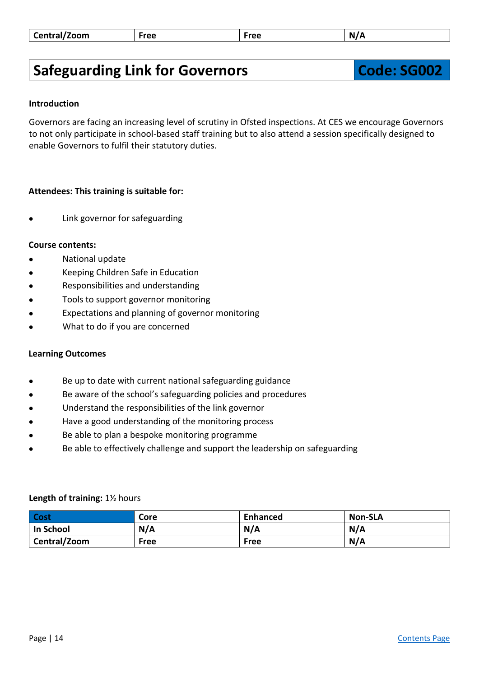| Central/Zoom | Free | Free | N<br>R |
|--------------|------|------|--------|
|--------------|------|------|--------|

# <span id="page-13-0"></span>**Safeguarding Link for Governors The Code: SG002**

#### **Introduction**

Governors are facing an increasing level of scrutiny in Ofsted inspections. At CES we encourage Governors to not only participate in school-based staff training but to also attend a session specifically designed to enable Governors to fulfil their statutory duties.

#### **Attendees: This training is suitable for:**

Link governor for safeguarding

#### **Course contents:**

- **National update**
- Keeping Children Safe in Education
- Responsibilities and understanding
- Tools to support governor monitoring
- Expectations and planning of governor monitoring
- What to do if you are concerned

#### **Learning Outcomes**

- Be up to date with current national safeguarding guidance
- Be aware of the school's safeguarding policies and procedures
- Understand the responsibilities of the link governor
- Have a good understanding of the monitoring process
- Be able to plan a bespoke monitoring programme
- Be able to effectively challenge and support the leadership on safeguarding

| <b>Cost</b>      | Core | <b>Enhanced</b> | <b>Non-SLA</b> |
|------------------|------|-----------------|----------------|
| <b>In School</b> | N/A  | N/A             | N/A            |
| Central/Zoom     | Free | Free            | N/A            |

#### **Length of training:** 1½ hours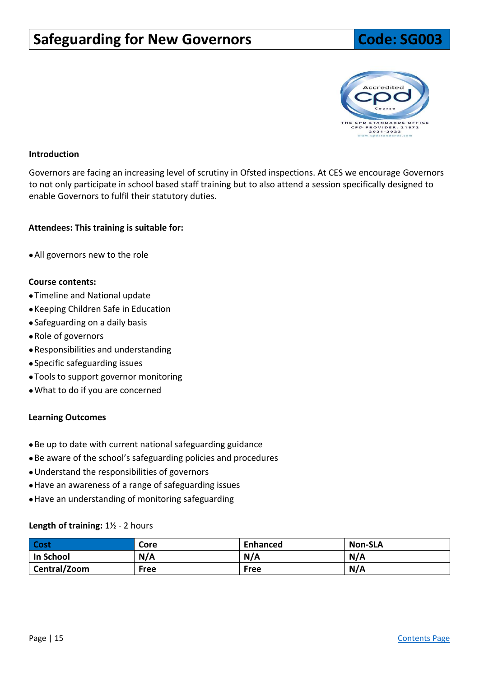## <span id="page-14-0"></span>**Safeguarding for New Governors The Code: SG003**



#### **Introduction**

Governors are facing an increasing level of scrutiny in Ofsted inspections. At CES we encourage Governors to not only participate in school based staff training but to also attend a session specifically designed to enable Governors to fulfil their statutory duties.

#### **Attendees: This training is suitable for:**

●All governors new to the role

#### **Course contents:**

- ●Timeline and National update
- ●Keeping Children Safe in Education
- ●Safeguarding on a daily basis
- ●Role of governors
- ●Responsibilities and understanding
- ●Specific safeguarding issues
- ●Tools to support governor monitoring
- ●What to do if you are concerned

#### **Learning Outcomes**

- ●Be up to date with current national safeguarding guidance
- ●Be aware of the school's safeguarding policies and procedures
- ●Understand the responsibilities of governors
- ●Have an awareness of a range of safeguarding issues
- ●Have an understanding of monitoring safeguarding

#### **Length of training:** 1½ - 2 hours

| <b>Cost</b>  | Core        | <b>Enhanced</b> | <b>Non-SLA</b> |
|--------------|-------------|-----------------|----------------|
| In School    | N/A         | N/A             | N/A            |
| Central/Zoom | <b>Free</b> | <b>Free</b>     | N/A            |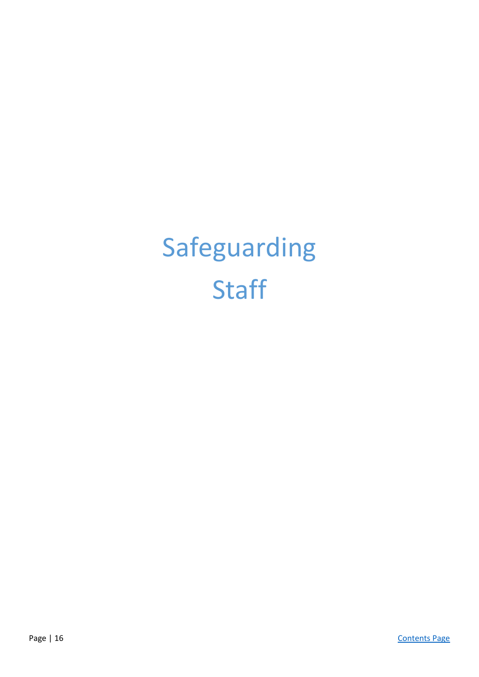# Safeguarding **Staff**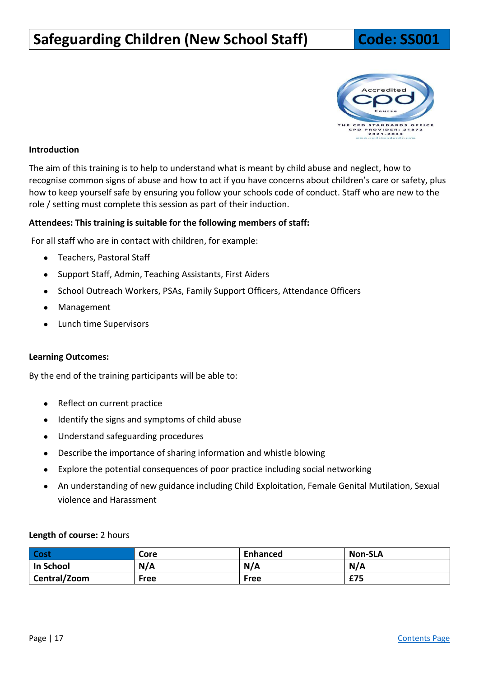# <span id="page-16-0"></span>**Safeguarding Children (New School Staff) Code: SS001**



#### **Introduction**

The aim of this training is to help to understand what is meant by child abuse and neglect, how to recognise common signs of abuse and how to act if you have concerns about children's care or safety, plus how to keep yourself safe by ensuring you follow your schools code of conduct. Staff who are new to the role / setting must complete this session as part of their induction.

#### **Attendees: This training is suitable for the following members of staff:**

For all staff who are in contact with children, for example:

- Teachers, Pastoral Staff
- Support Staff, Admin, Teaching Assistants, First Aiders
- School Outreach Workers, PSAs, Family Support Officers, Attendance Officers
- Management
- Lunch time Supervisors

#### **Learning Outcomes:**

By the end of the training participants will be able to:

- Reflect on current practice
- Identify the signs and symptoms of child abuse
- Understand safeguarding procedures
- Describe the importance of sharing information and whistle blowing
- Explore the potential consequences of poor practice including social networking
- An understanding of new guidance including Child Exploitation, Female Genital Mutilation, Sexual violence and Harassment

#### **Length of course:** 2 hours

| Cost         | Core | <b>Enhanced</b> | Non-SLA |
|--------------|------|-----------------|---------|
| In School    | N/A  | N/A             | N/A     |
| Central/Zoom | Free | <b>Free</b>     | £75     |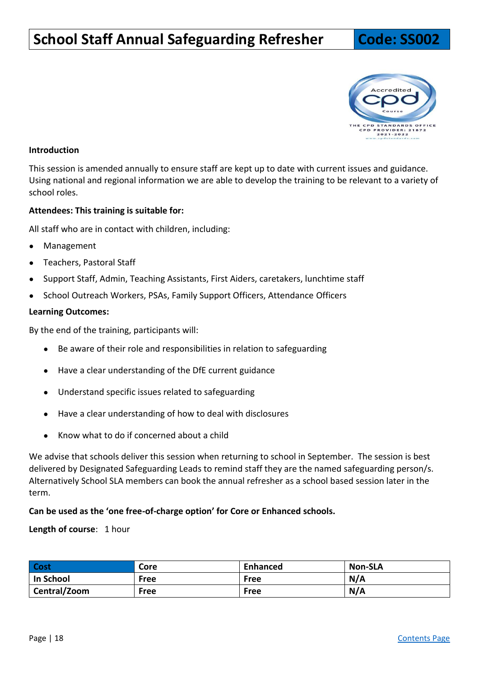# <span id="page-17-0"></span>**School Staff Annual Safeguarding Refresher | Code: SS002**

# E CPD STANDARDS OFF|<br>CPD PROVIDER: 21872<br>2021-2022

#### **Introduction**

This session is amended annually to ensure staff are kept up to date with current issues and guidance. Using national and regional information we are able to develop the training to be relevant to a variety of school roles.

#### **Attendees: This training is suitable for:**

All staff who are in contact with children, including:

- Management
- Teachers, Pastoral Staff
- Support Staff, Admin, Teaching Assistants, First Aiders, caretakers, lunchtime staff
- School Outreach Workers, PSAs, Family Support Officers, Attendance Officers

#### **Learning Outcomes:**

By the end of the training, participants will:

- Be aware of their role and responsibilities in relation to safeguarding
- Have a clear understanding of the DfE current guidance
- Understand specific issues related to safeguarding
- Have a clear understanding of how to deal with disclosures
- Know what to do if concerned about a child

We advise that schools deliver this session when returning to school in September. The session is best delivered by Designated Safeguarding Leads to remind staff they are the named safeguarding person/s. Alternatively School SLA members can book the annual refresher as a school based session later in the term.

#### **Can be used as the 'one free-of-charge option' for Core or Enhanced schools.**

**Length of course**: 1 hour

| Cost                      | Core        | <b>Enhanced</b> | <b>Non-SLA</b> |
|---------------------------|-------------|-----------------|----------------|
| In School                 | <b>Free</b> | <b>Free</b>     | N/A            |
| <sup>1</sup> Central/Zoom | <b>Free</b> | Free            | N/A            |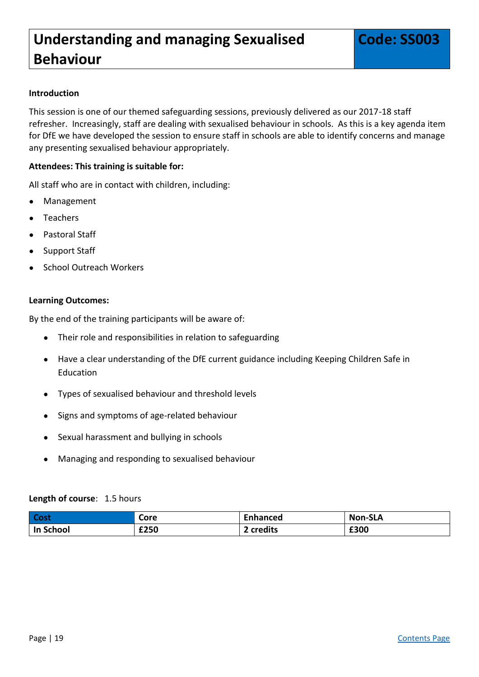<span id="page-18-0"></span>This session is one of our themed safeguarding sessions, previously delivered as our 2017-18 staff refresher. Increasingly, staff are dealing with sexualised behaviour in schools. As this is a key agenda item for DfE we have developed the session to ensure staff in schools are able to identify concerns and manage any presenting sexualised behaviour appropriately.

#### **Attendees: This training is suitable for:**

All staff who are in contact with children, including:

- **Management**
- **Teachers**
- Pastoral Staff
- Support Staff
- School Outreach Workers

#### **Learning Outcomes:**

By the end of the training participants will be aware of:

- Their role and responsibilities in relation to safeguarding
- Have a clear understanding of the DfE current guidance including Keeping Children Safe in Education
- Types of sexualised behaviour and threshold levels
- Signs and symptoms of age-related behaviour
- Sexual harassment and bullying in schools
- Managing and responding to sexualised behaviour

#### **Length of course**: 1.5 hours

| <b>Cost</b> | Core | <b>Enhanced</b> | <b>Non-SLA</b> |
|-------------|------|-----------------|----------------|
| In School   | £250 | ? credits       | £300           |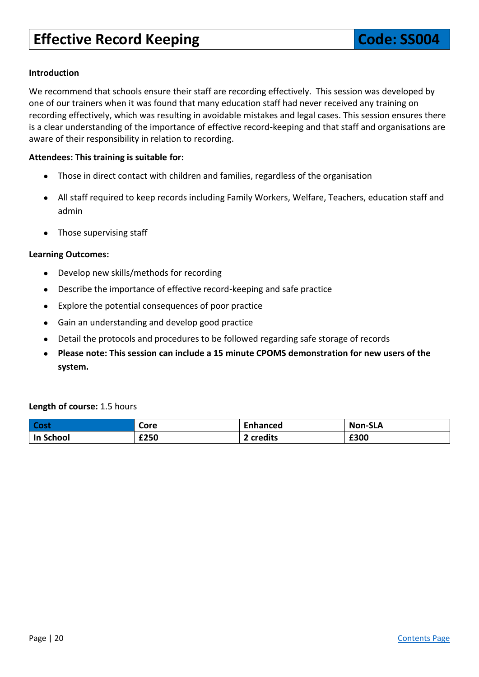<span id="page-19-0"></span>We recommend that schools ensure their staff are recording effectively. This session was developed by one of our trainers when it was found that many education staff had never received any training on recording effectively, which was resulting in avoidable mistakes and legal cases. This session ensures there is a clear understanding of the importance of effective record-keeping and that staff and organisations are aware of their responsibility in relation to recording.

#### **Attendees: This training is suitable for:**

- Those in direct contact with children and families, regardless of the organisation
- All staff required to keep records including Family Workers, Welfare, Teachers, education staff and admin
- Those supervising staff

#### **Learning Outcomes:**

- Develop new skills/methods for recording
- Describe the importance of effective record-keeping and safe practice
- Explore the potential consequences of poor practice
- Gain an understanding and develop good practice
- Detail the protocols and procedures to be followed regarding safe storage of records
- **Please note: This session can include a 15 minute CPOMS demonstration for new users of the system.**

#### **Length of course:** 1.5 hours

| Cost      | Core | <b>Enhanced</b> | <b>Non-SLA</b> |
|-----------|------|-----------------|----------------|
| In School | £250 | credits         | £300           |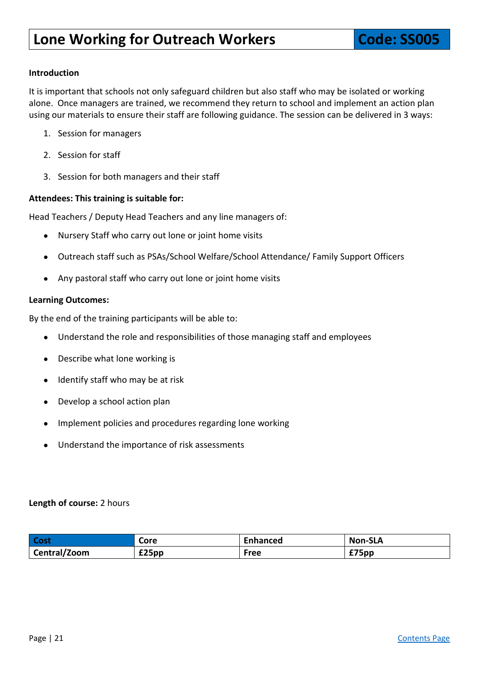<span id="page-20-0"></span>It is important that schools not only safeguard children but also staff who may be isolated or working alone. Once managers are trained, we recommend they return to school and implement an action plan using our materials to ensure their staff are following guidance. The session can be delivered in 3 ways:

- 1. Session for managers
- 2. Session for staff
- 3. Session for both managers and their staff

#### **Attendees: This training is suitable for:**

Head Teachers / Deputy Head Teachers and any line managers of:

- Nursery Staff who carry out lone or joint home visits
- Outreach staff such as PSAs/School Welfare/School Attendance/ Family Support Officers
- Any pastoral staff who carry out lone or joint home visits

#### **Learning Outcomes:**

By the end of the training participants will be able to:

- Understand the role and responsibilities of those managing staff and employees
- Describe what lone working is
- Identify staff who may be at risk
- Develop a school action plan
- Implement policies and procedures regarding lone working
- Understand the importance of risk assessments

#### **Length of course:** 2 hours

| Cost         | Core  | Enhanced | <b>Non-SLA</b>  |
|--------------|-------|----------|-----------------|
| Central/Zoom | £25pp | Free     | $^{\circ}$ 75pp |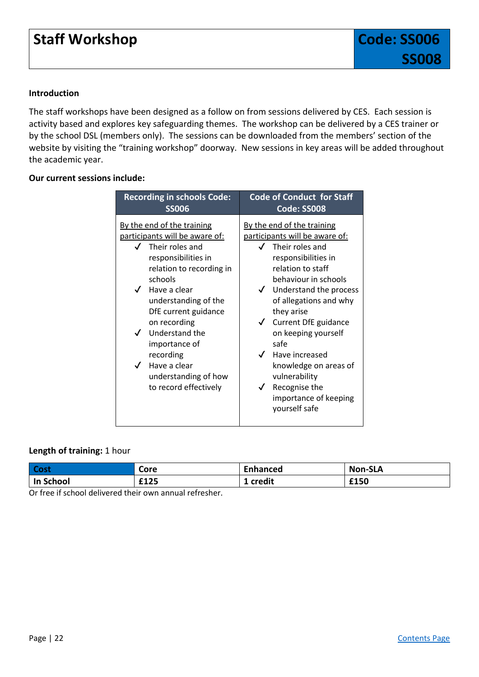## **Staff Workshop Code: SS006**

#### **Introduction**

The staff workshops have been designed as a follow on from sessions delivered by CES. Each session is activity based and explores key safeguarding themes. The workshop can be delivered by a CES trainer or by the school DSL (members only). The sessions can be downloaded from the members' section of the website by visiting the "training workshop" doorway. New sessions in key areas will be added throughout the academic year.

#### **Our current sessions include:**

<span id="page-21-1"></span><span id="page-21-0"></span>

| <b>Recording in schools Code:</b>                                                                                                                                                                                                                                                                                                                                                                               | <b>Code of Conduct for Staff</b>                                                                                                                                                                                                                                                                                                                                                                                                                                    |
|-----------------------------------------------------------------------------------------------------------------------------------------------------------------------------------------------------------------------------------------------------------------------------------------------------------------------------------------------------------------------------------------------------------------|---------------------------------------------------------------------------------------------------------------------------------------------------------------------------------------------------------------------------------------------------------------------------------------------------------------------------------------------------------------------------------------------------------------------------------------------------------------------|
| <b>SS006</b>                                                                                                                                                                                                                                                                                                                                                                                                    | Code: SS008                                                                                                                                                                                                                                                                                                                                                                                                                                                         |
| By the end of the training<br>participants will be aware of:<br>$\sqrt{ }$ Their roles and<br>responsibilities in<br>relation to recording in<br>schools<br>$\checkmark$ Have a clear<br>understanding of the<br>DfE current guidance<br>on recording<br>$\checkmark$ Understand the<br>importance of<br>recording<br>Have a clear<br>$\overline{\mathcal{L}}$<br>understanding of how<br>to record effectively | By the end of the training<br>participants will be aware of:<br>Their roles and<br>responsibilities in<br>relation to staff<br>behaviour in schools<br>Understand the process<br>$\checkmark$<br>of allegations and why<br>they arise<br>Current DfE guidance<br>$\checkmark$<br>on keeping yourself<br>safe<br>$\checkmark$<br>Have increased<br>knowledge on areas of<br>vulnerability<br>Recognise the<br>$\checkmark$<br>importance of keeping<br>yourself safe |

#### **Length of training:** 1 hour

| <b>Cost</b>      | Core | <b>Enhanced</b> | <b>Non-SLA</b> |
|------------------|------|-----------------|----------------|
| <b>In School</b> | £125 | credit          | £150           |

Or free if school delivered their own annual refresher.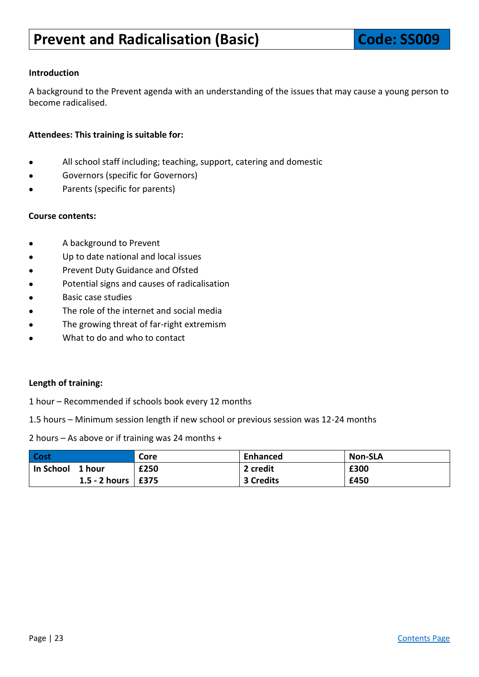<span id="page-22-0"></span>A background to the Prevent agenda with an understanding of the issues that may cause a young person to become radicalised.

#### **Attendees: This training is suitable for:**

- All school staff including; teaching, support, catering and domestic
- Governors (specific for Governors)
- Parents (specific for parents)

#### **Course contents:**

- A background to Prevent
- Up to date national and local issues
- Prevent Duty Guidance and Ofsted
- Potential signs and causes of radicalisation
- **Basic case studies**
- The role of the internet and social media
- The growing threat of far-right extremism
- What to do and who to contact

#### **Length of training:**

- 1 hour Recommended if schools book every 12 months
- 1.5 hours Minimum session length if new school or previous session was 12-24 months

2 hours – As above or if training was 24 months +

| <b>Cost</b>            | Core | Enhanced  | <b>Non-SLA</b> |
|------------------------|------|-----------|----------------|
| In School 1 hour       | £250 | 2 credit  | £300           |
| 1.5 - 2 hours   $£375$ |      | 3 Credits | £450           |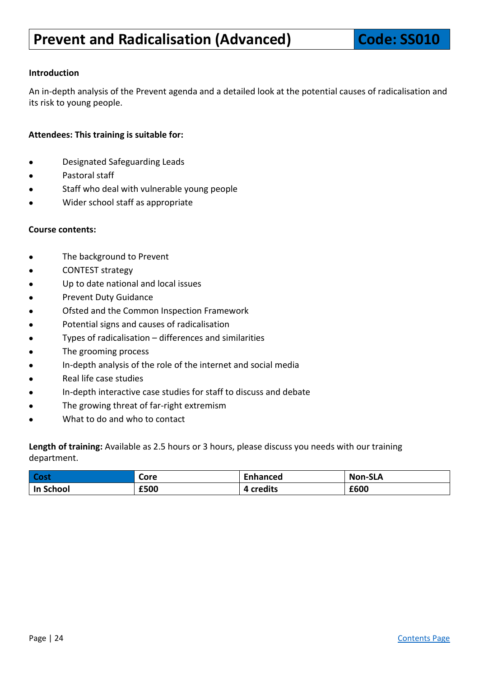<span id="page-23-0"></span>An in-depth analysis of the Prevent agenda and a detailed look at the potential causes of radicalisation and its risk to young people.

#### **Attendees: This training is suitable for:**

- Designated Safeguarding Leads
- Pastoral staff
- Staff who deal with vulnerable young people
- Wider school staff as appropriate

#### **Course contents:**

- The background to Prevent
- CONTEST strategy
- Up to date national and local issues
- Prevent Duty Guidance
- Ofsted and the Common Inspection Framework
- Potential signs and causes of radicalisation
- Types of radicalisation  $-$  differences and similarities
- The grooming process
- In-depth analysis of the role of the internet and social media
- Real life case studies
- In-depth interactive case studies for staff to discuss and debate
- The growing threat of far-right extremism
- What to do and who to contact

**Length of training:** Available as 2.5 hours or 3 hours, please discuss you needs with our training department.

| Cost      | Core | $\overline{\phantom{a}}$<br>Enhanced | <b>Non-SLA</b> |
|-----------|------|--------------------------------------|----------------|
| In School | £500 | credits                              | £600           |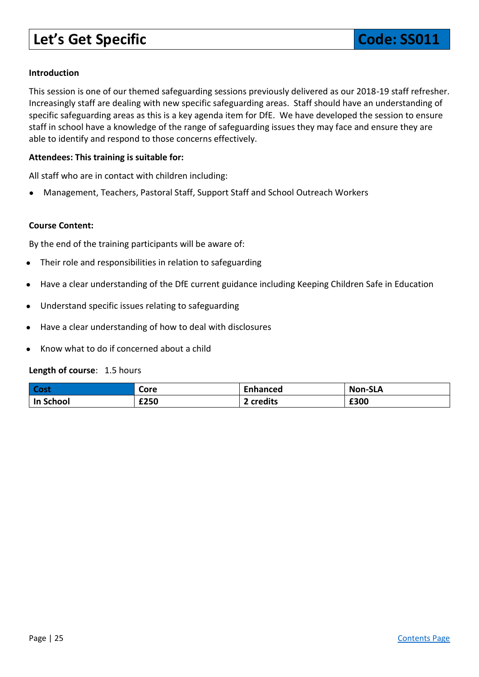# <span id="page-24-0"></span>**Let's Get Specific**  Code: SS011

#### **Introduction**

This session is one of our themed safeguarding sessions previously delivered as our 2018-19 staff refresher. Increasingly staff are dealing with new specific safeguarding areas. Staff should have an understanding of specific safeguarding areas as this is a key agenda item for DfE. We have developed the session to ensure staff in school have a knowledge of the range of safeguarding issues they may face and ensure they are able to identify and respond to those concerns effectively.

#### **Attendees: This training is suitable for:**

All staff who are in contact with children including:

● Management, Teachers, Pastoral Staff, Support Staff and School Outreach Workers

#### **Course Content:**

By the end of the training participants will be aware of:

- Their role and responsibilities in relation to safeguarding
- Have a clear understanding of the DfE current guidance including Keeping Children Safe in Education
- Understand specific issues relating to safeguarding
- Have a clear understanding of how to deal with disclosures
- Know what to do if concerned about a child

#### **Length of course**: 1.5 hours

| Cost      | Core | <b>Enhanced</b> | <b>Non-SLA</b> |
|-----------|------|-----------------|----------------|
| In School | £250 | 2 credits       | £300           |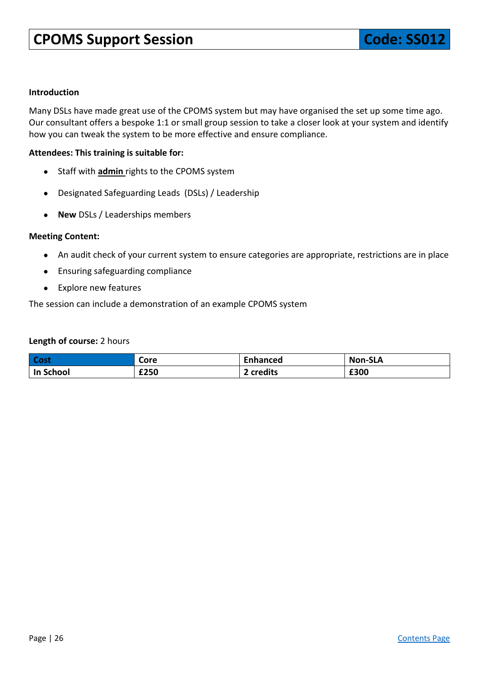<span id="page-25-0"></span>Many DSLs have made great use of the CPOMS system but may have organised the set up some time ago. Our consultant offers a bespoke 1:1 or small group session to take a closer look at your system and identify how you can tweak the system to be more effective and ensure compliance.

#### **Attendees: This training is suitable for:**

- Staff with **admin** rights to the CPOMS system
- Designated Safeguarding Leads (DSLs) / Leadership
- **New** DSLs / Leaderships members

#### **Meeting Content:**

- An audit check of your current system to ensure categories are appropriate, restrictions are in place
- Ensuring safeguarding compliance
- Explore new features

#### The session can include a demonstration of an example CPOMS system

#### **Length of course:** 2 hours

| <b>Cost</b> | Core | <b>Enhanced</b> | <b>Non-SLA</b> |
|-------------|------|-----------------|----------------|
| In School   | £250 | credits         | £300           |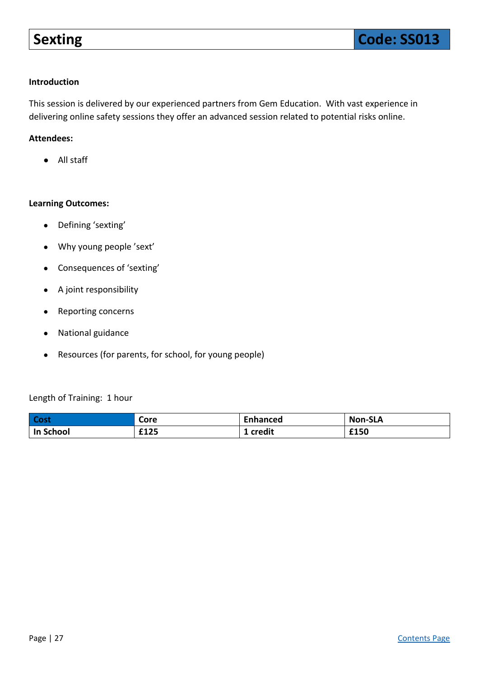<span id="page-26-0"></span>This session is delivered by our experienced partners from Gem Education. With vast experience in delivering online safety sessions they offer an advanced session related to potential risks online.

#### **Attendees:**

● All staff

#### **Learning Outcomes:**

- Defining 'sexting'
- Why young people 'sext'
- Consequences of 'sexting'
- A joint responsibility
- Reporting concerns
- National guidance
- Resources (for parents, for school, for young people)

#### Length of Training: 1 hour

| <b>Cost</b> | Core | Enhanced | <b>Non-SLA</b> |
|-------------|------|----------|----------------|
| In School   | £125 | credit   | £150           |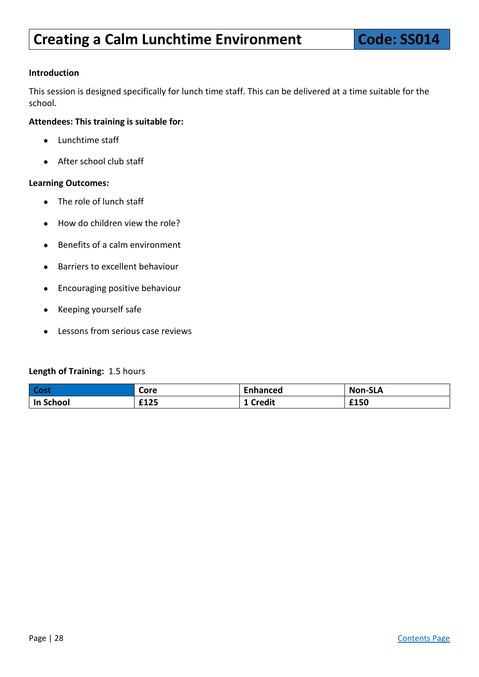<span id="page-27-0"></span>This session is designed specifically for lunch time staff. This can be delivered at a time suitable for the school.

#### **Attendees: This training is suitable for:**

- Lunchtime staff
- After school club staff

#### **Learning Outcomes:**

- The role of lunch staff
- How do children view the role?
- Benefits of a calm environment
- Barriers to excellent behaviour
- Encouraging positive behaviour
- Keeping yourself safe
- Lessons from serious case reviews

#### **Length of Training:** 1.5 hours

| <b>Cost</b> | Core | _nhanced      | <b>Non-SLA</b> |
|-------------|------|---------------|----------------|
| In School   | £125 | <b>Credit</b> | £150           |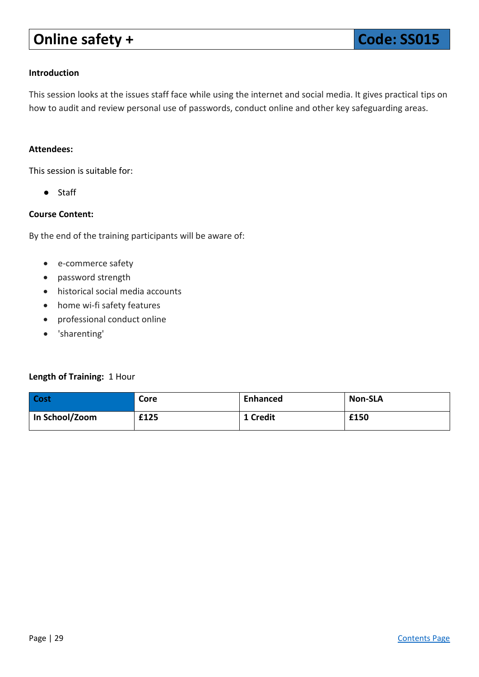# **Online safety + Code: SS015**

#### <span id="page-28-0"></span>**Introduction**

This session looks at the issues staff face while using the internet and social media. It gives practical tips on how to audit and review personal use of passwords, conduct online and other key safeguarding areas.

#### **Attendees:**

This session is suitable for:

● Staff

#### **Course Content:**

By the end of the training participants will be aware of:

- e-commerce safety
- password strength
- historical social media accounts
- home wi-fi safety features
- professional conduct online
- 'sharenting'

#### **Length of Training:** 1 Hour

| Cost           | Core | <b>Enhanced</b> | <b>Non-SLA</b> |
|----------------|------|-----------------|----------------|
| In School/Zoom | £125 | 1 Credit        | £150           |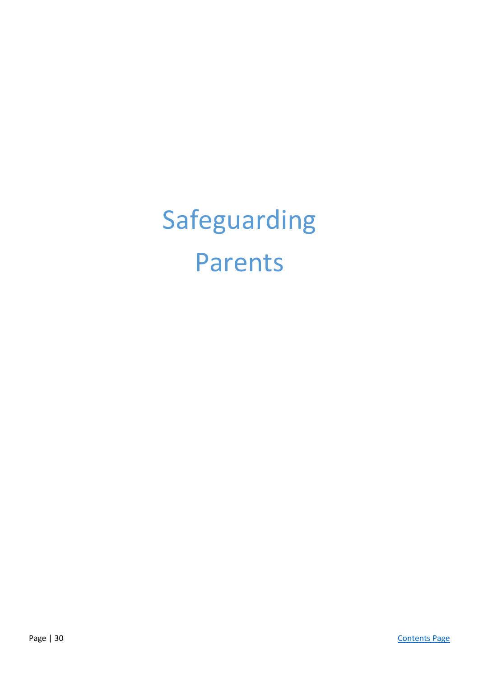Safeguarding Parents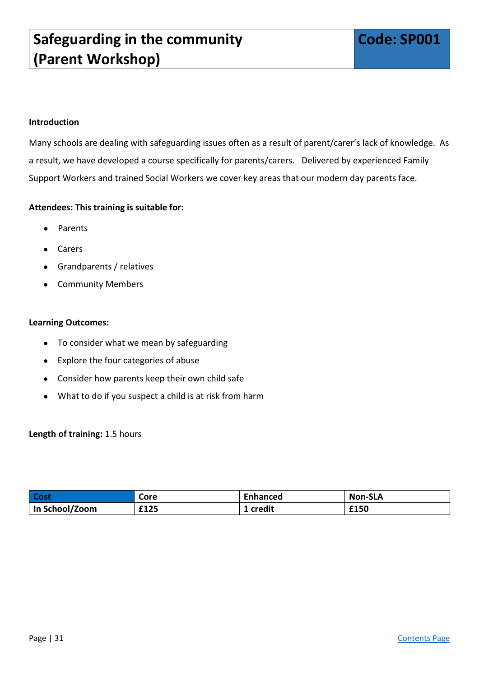<span id="page-30-0"></span>Many schools are dealing with safeguarding issues often as a result of parent/carer's lack of knowledge. As a result, we have developed a course specifically for parents/carers. Delivered by experienced Family Support Workers and trained Social Workers we cover key areas that our modern day parents face.

#### **Attendees: This training is suitable for:**

- **Parents**
- **Carers**
- Grandparents / relatives
- Community Members

#### **Learning Outcomes:**

- To consider what we mean by safeguarding
- Explore the four categories of abuse
- Consider how parents keep their own child safe
- What to do if you suspect a child is at risk from harm

#### **Length of training:** 1.5 hours

| <b>Cost</b>    | Core | Enhanced | <b>Non-SLA</b> |
|----------------|------|----------|----------------|
| In School/Zoom | £125 | credit   | £150           |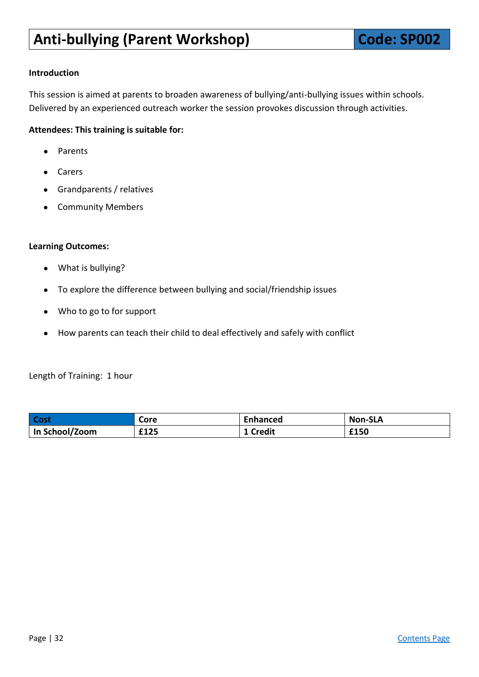<span id="page-31-0"></span>This session is aimed at parents to broaden awareness of bullying/anti-bullying issues within schools. Delivered by an experienced outreach worker the session provokes discussion through activities.

#### **Attendees: This training is suitable for:**

- Parents
- Carers
- Grandparents / relatives
- Community Members

#### **Learning Outcomes:**

- What is bullying?
- To explore the difference between bullying and social/friendship issues
- Who to go to for support
- How parents can teach their child to deal effectively and safely with conflict

Length of Training: 1 hour

| Cost           | Core | <b>Enhanced</b> | <b>Non-SLA</b> |
|----------------|------|-----------------|----------------|
| In School/Zoom | £125 | <b>Credit</b>   | £150           |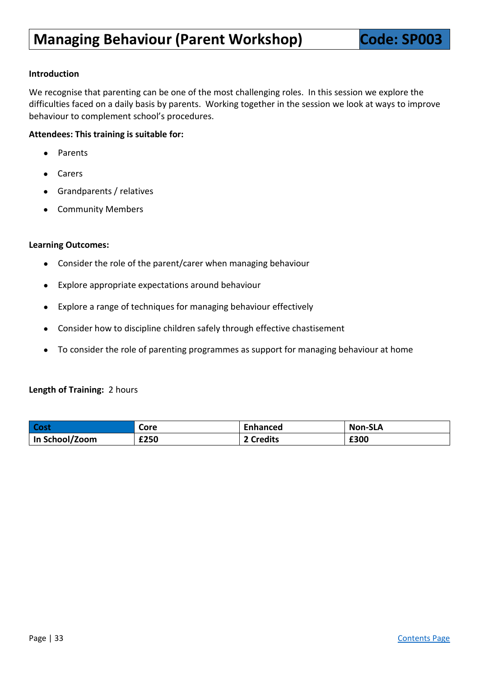<span id="page-32-0"></span>We recognise that parenting can be one of the most challenging roles. In this session we explore the difficulties faced on a daily basis by parents. Working together in the session we look at ways to improve behaviour to complement school's procedures.

#### **Attendees: This training is suitable for:**

- Parents
- Carers
- Grandparents / relatives
- **Community Members**

#### **Learning Outcomes:**

- Consider the role of the parent/carer when managing behaviour
- Explore appropriate expectations around behaviour
- Explore a range of techniques for managing behaviour effectively
- Consider how to discipline children safely through effective chastisement
- To consider the role of parenting programmes as support for managing behaviour at home

#### **Length of Training:** 2 hours

| Cost             | Core | Enhanced  | <b>Non-SLA</b> |
|------------------|------|-----------|----------------|
| ' In School/Zoom | £250 | ? Credits | £300           |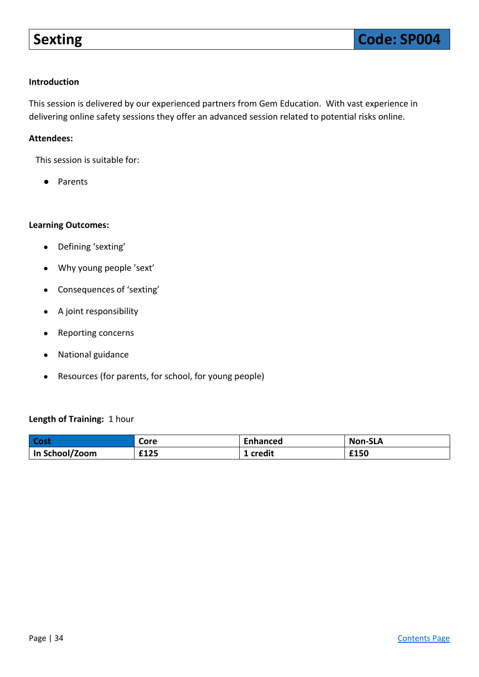<span id="page-33-0"></span>This session is delivered by our experienced partners from Gem Education. With vast experience in delivering online safety sessions they offer an advanced session related to potential risks online.

#### **Attendees:**

This session is suitable for:

● Parents

#### **Learning Outcomes:**

- Defining 'sexting'
- Why young people 'sext'
- Consequences of 'sexting'
- A joint responsibility
- Reporting concerns
- National guidance
- Resources (for parents, for school, for young people)

#### **Length of Training:** 1 hour

| Cost           | Core | <b>Enhanced</b> | <b>Non-SLA</b> |
|----------------|------|-----------------|----------------|
| In School/Zoom | £125 | .credit         | £150           |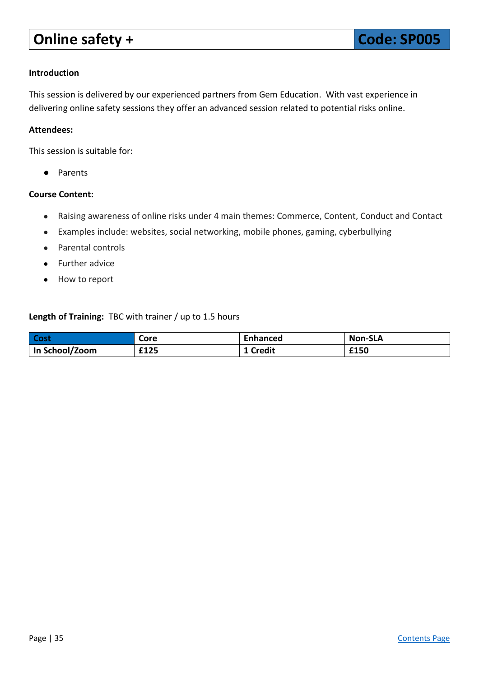# <span id="page-34-0"></span>**Online safety + Code: SP005**

#### **Introduction**

This session is delivered by our experienced partners from Gem Education. With vast experience in delivering online safety sessions they offer an advanced session related to potential risks online.

#### **Attendees:**

This session is suitable for:

● Parents

#### **Course Content:**

- Raising awareness of online risks under 4 main themes: Commerce, Content, Conduct and Contact
- Examples include: websites, social networking, mobile phones, gaming, cyberbullying
- Parental controls
- Further advice
- How to report

#### **Length of Training:** TBC with trainer / up to 1.5 hours

| Cost           | Core | <b>Enhanced</b> | <b>Non-SLA</b> |
|----------------|------|-----------------|----------------|
| In School/Zoom | £125 | <b>Credit</b>   | £150           |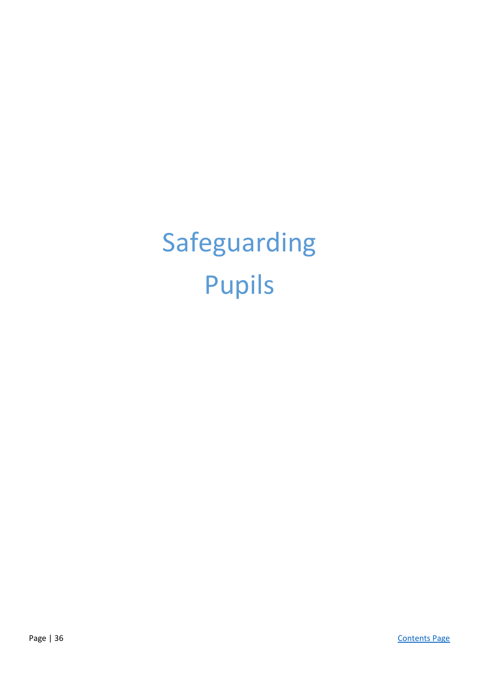# Safeguarding Pupils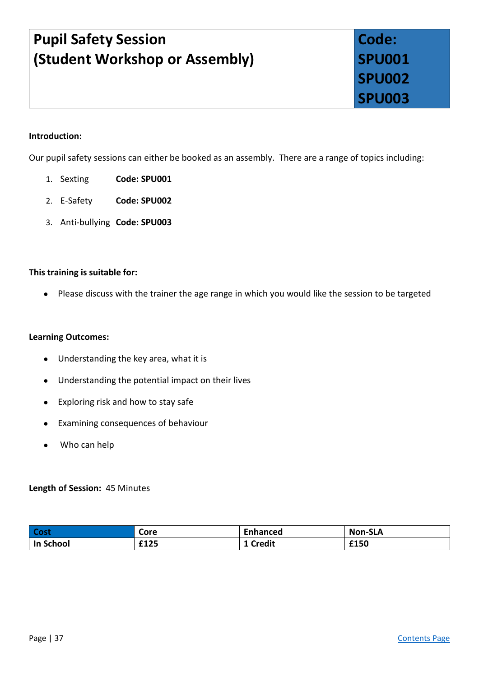# **Pupil Safety Session (Student Workshop or Assembly)**

# <span id="page-36-2"></span><span id="page-36-1"></span><span id="page-36-0"></span>**Code: SPU001 SPU002 SPU003**

#### **Introduction:**

Our pupil safety sessions can either be booked as an assembly. There are a range of topics including:

- 1. Sexting **Code: SPU001**
- 2. E-Safety **Code: SPU002**
- 3. Anti-bullying **Code: SPU003**

#### **This training is suitable for:**

● Please discuss with the trainer the age range in which you would like the session to be targeted

#### **Learning Outcomes:**

- Understanding the key area, what it is
- Understanding the potential impact on their lives
- Exploring risk and how to stay safe
- Examining consequences of behaviour
- Who can help

#### **Length of Session:** 45 Minutes

| Cost      | Core | Enhanced      | <b>Non-SLA</b> |
|-----------|------|---------------|----------------|
| In School | £125 | <b>Credit</b> | £150           |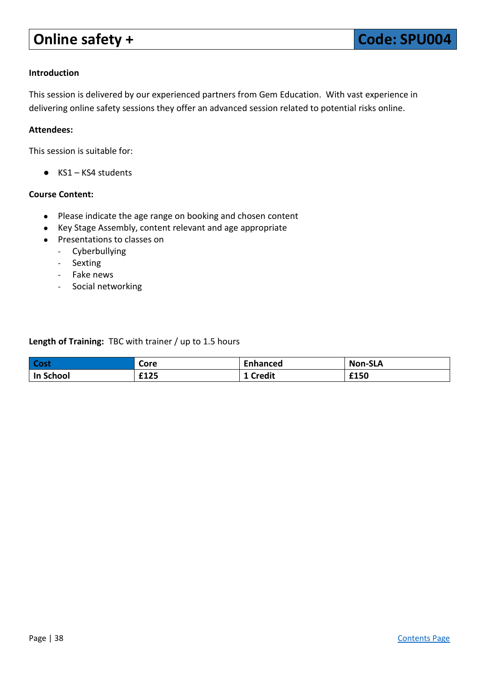# <span id="page-37-0"></span>**Online safety + Code: SPU004**

#### **Introduction**

This session is delivered by our experienced partners from Gem Education. With vast experience in delivering online safety sessions they offer an advanced session related to potential risks online.

#### **Attendees:**

This session is suitable for:

● KS1 – KS4 students

#### **Course Content:**

- Please indicate the age range on booking and chosen content
- Key Stage Assembly, content relevant and age appropriate
- Presentations to classes on
	- Cyberbullying
	- Sexting
	- Fake news
	- Social networking

**Length of Training:** TBC with trainer / up to 1.5 hours

| Cost             | Core | Enhanced      | <b>Non-SLA</b> |
|------------------|------|---------------|----------------|
| <b>In School</b> | £125 | <b>Credit</b> | £150           |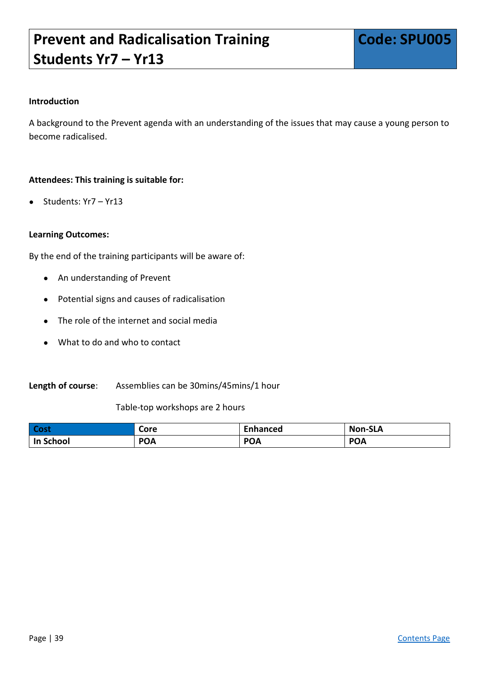# <span id="page-38-0"></span>**Prevent and Radicalisation Training Students Yr7 – Yr13**

#### **Introduction**

A background to the Prevent agenda with an understanding of the issues that may cause a young person to become radicalised.

#### **Attendees: This training is suitable for:**

Students: Yr7 – Yr13

#### **Learning Outcomes:**

By the end of the training participants will be aware of:

- An understanding of Prevent
- Potential signs and causes of radicalisation
- The role of the internet and social media
- What to do and who to contact

#### **Length of course**: Assemblies can be 30mins/45mins/1 hour

Table-top workshops are 2 hours

| l Cost    | Core       | <b>Inhanced</b> | <b>Non-SLA</b> |
|-----------|------------|-----------------|----------------|
| In School | <b>POA</b> | <b>POA</b>      | <b>POA</b>     |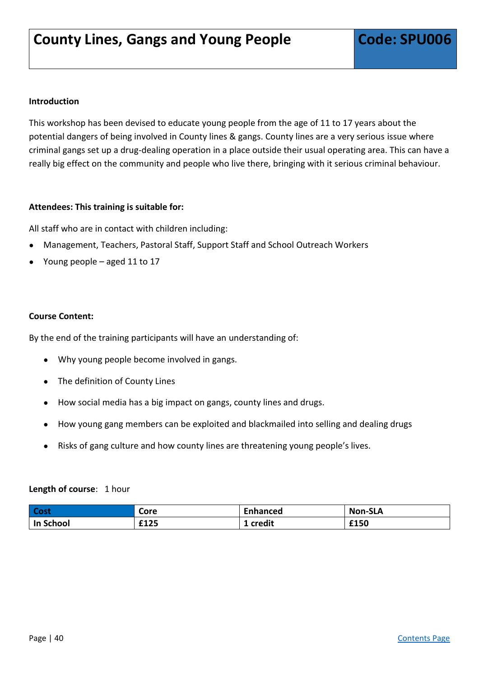<span id="page-39-0"></span>This workshop has been devised to educate young people from the age of 11 to 17 years about the potential dangers of being involved in County lines & gangs. County lines are a very serious issue where criminal gangs set up a drug-dealing operation in a place outside their usual operating area. This can have a really big effect on the community and people who live there, bringing with it serious criminal behaviour.

#### **Attendees: This training is suitable for:**

All staff who are in contact with children including:

- Management, Teachers, Pastoral Staff, Support Staff and School Outreach Workers
- Young people aged 11 to 17

#### **Course Content:**

By the end of the training participants will have an understanding of:

- Why young people become involved in gangs.
- The definition of County Lines
- How social media has a big impact on gangs, county lines and drugs.
- How young gang members can be exploited and blackmailed into selling and dealing drugs
- Risks of gang culture and how county lines are threatening young people's lives.

#### **Length of course**: 1 hour

| <b>Cost</b> | Core | <b>Enhanced</b> | <b>Non-SLA</b> |
|-------------|------|-----------------|----------------|
| In School   | £125 | credit          | £150           |